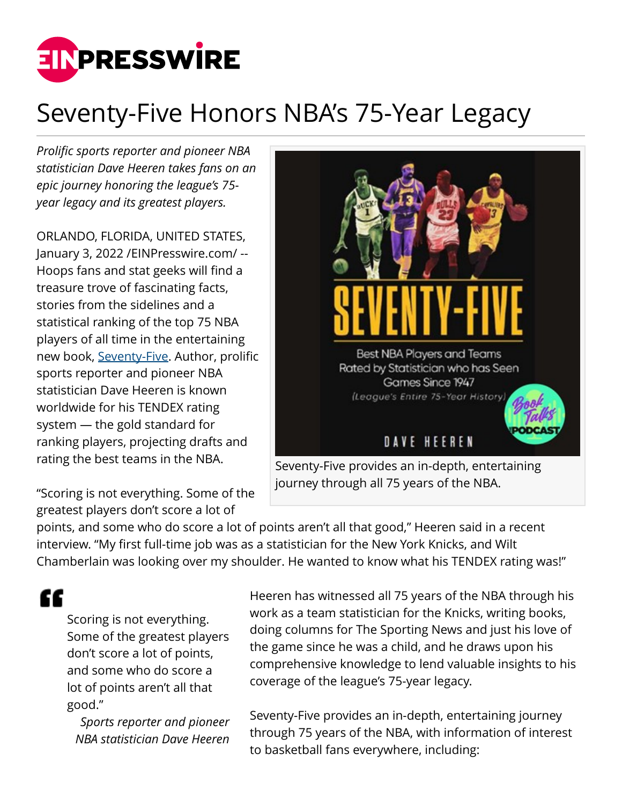

## Seventy-Five Honors NBA's 75-Year Legacy

*Prolific sports reporter and pioneer NBA statistician Dave Heeren takes fans on an epic journey honoring the league's 75 year legacy and its greatest players.*

ORLANDO, FLORIDA, UNITED STATES, January 3, 2022 [/EINPresswire.com](http://www.einpresswire.com)/ -- Hoops fans and stat geeks will find a treasure trove of fascinating facts, stories from the sidelines and a statistical ranking of the top 75 NBA players of all time in the entertaining new book, [Seventy-Five.](https://www.amazon.com/Seventy-Five-Players-Teams-Rated-Statistician/dp/1684860261/ref=sr_1_1?crid=RSYT6UVT8XV&keywords=Seventy-Five%2C+Dave+Heeren&qid=1641217752&sprefix=seventy-five%2C+dave+heeren%2Caps%2C132&sr=8-1) Author, prolific sports reporter and pioneer NBA statistician Dave Heeren is known worldwide for his TENDEX rating system — the gold standard for ranking players, projecting drafts and rating the best teams in the NBA.

"Scoring is not everything. Some of the greatest players don't score a lot of



journey through all 75 years of the NBA.

points, and some who do score a lot of points aren't all that good," Heeren said in a recent interview. "My first full-time job was as a statistician for the New York Knicks, and Wilt Chamberlain was looking over my shoulder. He wanted to know what his TENDEX rating was!"

££

Scoring is not everything. Some of the greatest players don't score a lot of points, and some who do score a lot of points aren't all that good."

*Sports reporter and pioneer NBA statistician Dave Heeren*

Heeren has witnessed all 75 years of the NBA through his work as a team statistician for the Knicks, writing books, doing columns for The Sporting News and just his love of the game since he was a child, and he draws upon his comprehensive knowledge to lend valuable insights to his coverage of the league's 75-year legacy.

Seventy-Five provides an in-depth, entertaining journey through 75 years of the NBA, with information of interest to basketball fans everywhere, including: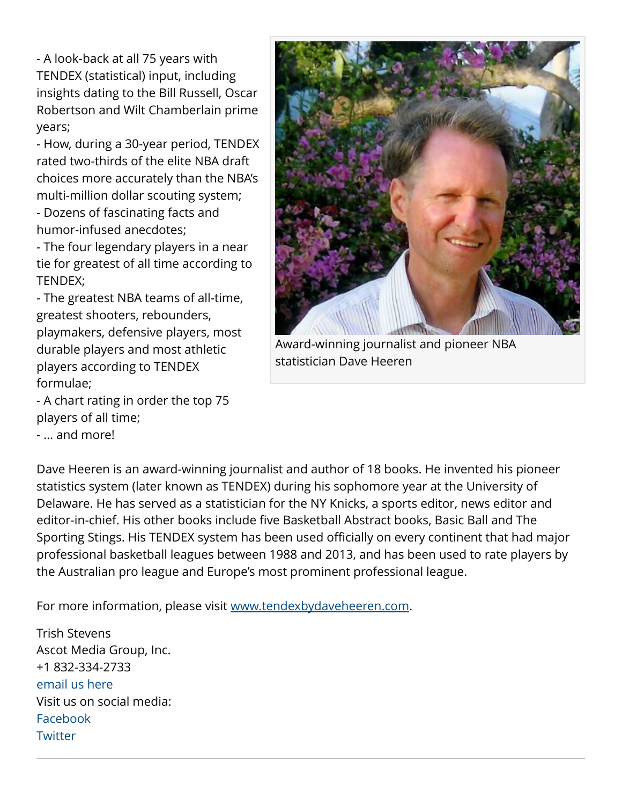- A look-back at all 75 years with TENDEX (statistical) input, including insights dating to the Bill Russell, Oscar Robertson and Wilt Chamberlain prime years;

- How, during a 30-year period, TENDEX rated two-thirds of the elite NBA draft choices more accurately than the NBA's multi-million dollar scouting system;

- Dozens of fascinating facts and humor-infused anecdotes;

- The four legendary players in a near tie for greatest of all time according to TENDEX;

- The greatest NBA teams of all-time, greatest shooters, rebounders, playmakers, defensive players, most durable players and most athletic players according to TENDEX formulae;

- A chart rating in order the top 75 players of all time;

- … and more!



Award-winning journalist and pioneer NBA statistician Dave Heeren

Dave Heeren is an award-winning journalist and author of 18 books. He invented his pioneer statistics system (later known as TENDEX) during his sophomore year at the University of Delaware. He has served as a statistician for the NY Knicks, a sports editor, news editor and editor-in-chief. His other books include five Basketball Abstract books, Basic Ball and The Sporting Stings. His TENDEX system has been used officially on every continent that had major professional basketball leagues between 1988 and 2013, and has been used to rate players by the Australian pro league and Europe's most prominent professional league.

For more information, please visit [www.tendexbydaveheeren.com](http://www.tendexbydaveheeren.com).

Trish Stevens Ascot Media Group, Inc. +1 832-334-2733 [email us here](http://www.einpresswire.com/contact_author/3228247) Visit us on social media: [Facebook](https://www.facebook.com/AscotMediaGroup) **[Twitter](https://twitter.com/AscotMediaGroup)**